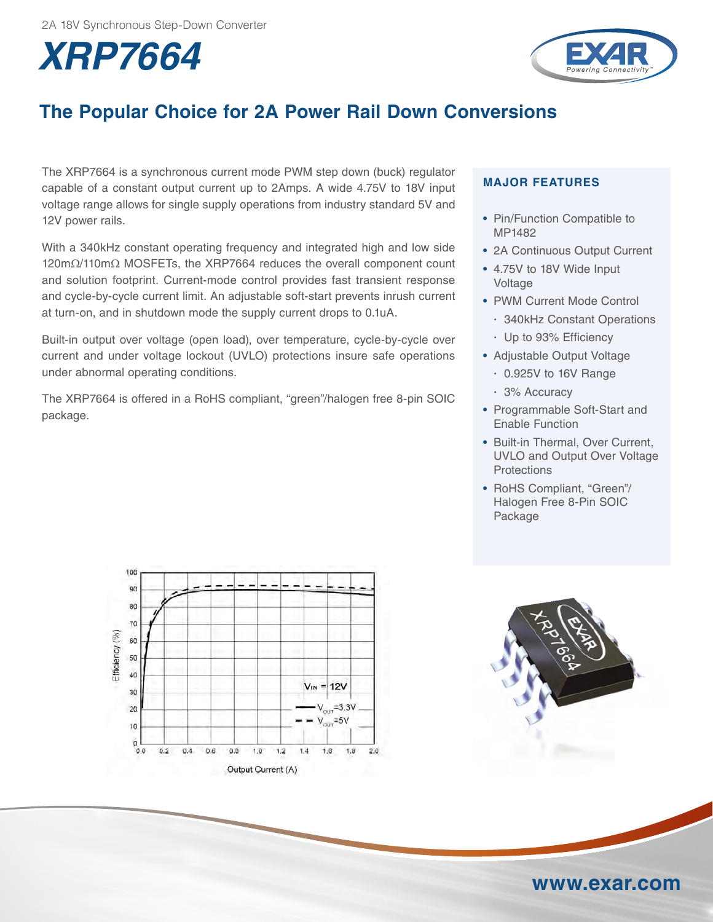



# **The Popular Choice for 2A Power Rail Down Conversions**

The XRP7664 is a synchronous current mode PWM step down (buck) regulator capable of a constant output current up to 2Amps. A wide 4.75V to 18V input voltage range allows for single supply operations from industry standard 5V and 12V power rails.

With a 340kHz constant operating frequency and integrated high and low side 120mΩ/110mΩ MOSFETs, the XRP7664 reduces the overall component count and solution footprint. Current-mode control provides fast transient response and cycle-by-cycle current limit. An adjustable soft-start prevents inrush current at turn-on, and in shutdown mode the supply current drops to 0.1uA.

Built-in output over voltage (open load), over temperature, cycle-by-cycle over current and under voltage lockout (UVLO) protections insure safe operations under abnormal operating conditions.

The XRP7664 is offered in a RoHS compliant, "green"/halogen free 8-pin SOIC package.

### **MAJOR FEATURES**

- Pin/Function Compatible to MP1482
- 2A Continuous Output Current
- 4.75V to 18V Wide Input Voltage
- PWM Current Mode Control
	- 340kHz Constant Operations
	- Up to 93% Efficiency
- Adjustable Output Voltage
	- 0.925V to 16V Range
	- 3% Accuracy
- Programmable Soft-Start and Enable Function
- Built-in Thermal, Over Current, UVLO and Output Over Voltage **Protections**
- RoHS Compliant, "Green"/ Halogen Free 8-Pin SOIC Package





## **www.exar.com**